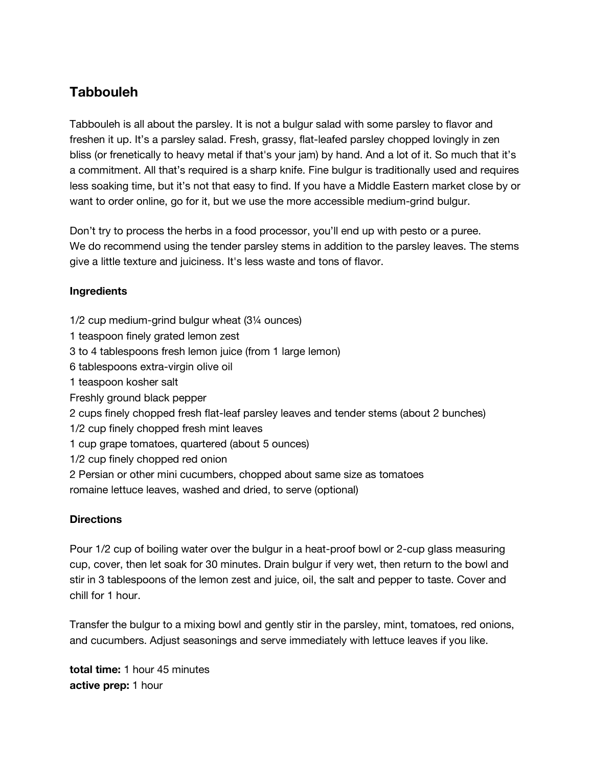## **Tabbouleh**

Tabbouleh is all about the parsley. It is not a bulgur salad with some parsley to flavor and freshen it up. It's a parsley salad. Fresh, grassy, flat-leafed parsley chopped lovingly in zen bliss (or frenetically to heavy metal if that's your jam) by hand. And a lot of it. So much that it's a commitment. All that's required is a sharp knife. Fine bulgur is traditionally used and requires less soaking time, but it's not that easy to find. If you have a Middle Eastern market close by or want to order online, go for it, but we use the more accessible medium-grind bulgur.

Don't try to process the herbs in a food processor, you'll end up with pesto or a puree. We do recommend using the tender parsley stems in addition to the parsley leaves. The stems give a little texture and juiciness. It's less waste and tons of flavor.

## **Ingredients**

- 1/2 cup medium-grind bulgur wheat (3¼ ounces)
- 1 teaspoon finely grated lemon zest
- 3 to 4 tablespoons fresh lemon juice (from 1 large lemon)
- 6 tablespoons extra-virgin olive oil
- 1 teaspoon kosher salt
- Freshly ground black pepper
- 2 cups finely chopped fresh flat-leaf parsley leaves and tender stems (about 2 bunches)
- 1/2 cup finely chopped fresh mint leaves
- 1 cup grape tomatoes, quartered (about 5 ounces)
- 1/2 cup finely chopped red onion
- 2 Persian or other mini cucumbers, chopped about same size as tomatoes romaine lettuce leaves, washed and dried, to serve (optional)

## **Directions**

Pour 1/2 cup of boiling water over the bulgur in a heat-proof bowl or 2-cup glass measuring cup, cover, then let soak for 30 minutes. Drain bulgur if very wet, then return to the bowl and stir in 3 tablespoons of the lemon zest and juice, oil, the salt and pepper to taste. Cover and chill for 1 hour.

Transfer the bulgur to a mixing bowl and gently stir in the parsley, mint, tomatoes, red onions, and cucumbers. Adjust seasonings and serve immediately with lettuce leaves if you like.

**total time:** 1 hour 45 minutes **active prep:** 1 hour